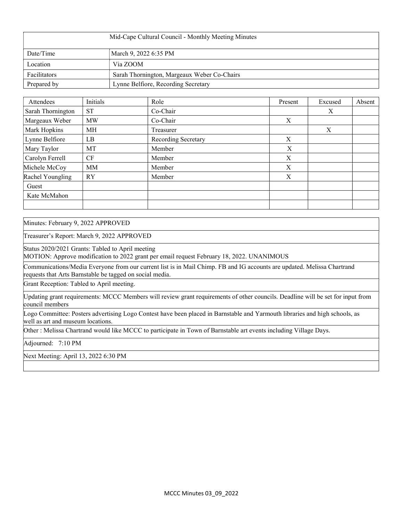| Mid-Cape Cultural Council - Monthly Meeting Minutes |                                             |  |  |  |
|-----------------------------------------------------|---------------------------------------------|--|--|--|
| Date/Time                                           | March 9, 2022 6:35 PM                       |  |  |  |
| Location                                            | Via ZOOM                                    |  |  |  |
| Facilitators                                        | Sarah Thornington, Margeaux Weber Co-Chairs |  |  |  |
| Prepared by                                         | Lynne Belfiore, Recording Secretary         |  |  |  |

| Attendees         | Initials  | Role                | Present | Excused | Absent |
|-------------------|-----------|---------------------|---------|---------|--------|
| Sarah Thornington | <b>ST</b> | Co-Chair            |         | X       |        |
| Margeaux Weber    | <b>MW</b> | Co-Chair            | X       |         |        |
| Mark Hopkins      | MH        | Treasurer           |         | X       |        |
| Lynne Belfiore    | LB        | Recording Secretary | X       |         |        |
| Mary Taylor       | MT        | Member              | X       |         |        |
| Carolyn Ferrell   | CF        | Member              | X       |         |        |
| Michele McCoy     | MM        | Member              | X       |         |        |
| Rachel Youngling  | <b>RY</b> | Member              | X       |         |        |
| Guest             |           |                     |         |         |        |
| Kate McMahon      |           |                     |         |         |        |
|                   |           |                     |         |         |        |

Minutes: February 9, 2022 APPROVED

Treasurer's Report: March 9, 2022 APPROVED

Status 2020/2021 Grants: Tabled to April meeting

MOTION: Approve modification to 2022 grant per email request February 18, 2022. UNANIMOUS

Communications/Media Everyone from our current list is in Mail Chimp. FB and IG accounts are updated. Melissa Chartrand requests that Arts Barnstable be tagged on social media.

Grant Reception: Tabled to April meeting.

Updating grant requirements: MCCC Members will review grant requirements of other councils. Deadline will be set for input from council members

Logo Committee: Posters advertising Logo Contest have been placed in Barnstable and Yarmouth libraries and high schools, as well as art and museum locations.

Other : Melissa Chartrand would like MCCC to participate in Town of Barnstable art events including Village Days.

Adjourned: 7:10 PM

Next Meeting: April 13, 2022 6:30 PM